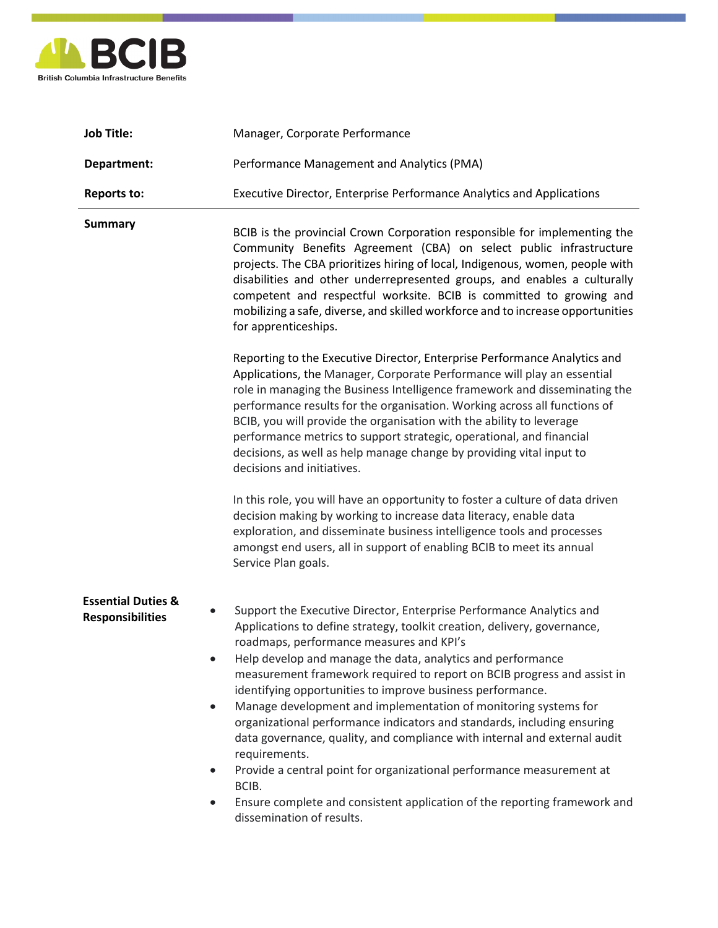

| <b>Job Title:</b>                                                                                            | Manager, Corporate Performance                                                                                                                                                                                                                                                                                                                                                                                                                                                                                                                                                                                                                                                                                                                                                                                                               |
|--------------------------------------------------------------------------------------------------------------|----------------------------------------------------------------------------------------------------------------------------------------------------------------------------------------------------------------------------------------------------------------------------------------------------------------------------------------------------------------------------------------------------------------------------------------------------------------------------------------------------------------------------------------------------------------------------------------------------------------------------------------------------------------------------------------------------------------------------------------------------------------------------------------------------------------------------------------------|
| Department:                                                                                                  | Performance Management and Analytics (PMA)                                                                                                                                                                                                                                                                                                                                                                                                                                                                                                                                                                                                                                                                                                                                                                                                   |
| <b>Reports to:</b>                                                                                           | Executive Director, Enterprise Performance Analytics and Applications                                                                                                                                                                                                                                                                                                                                                                                                                                                                                                                                                                                                                                                                                                                                                                        |
| <b>Summary</b>                                                                                               | BCIB is the provincial Crown Corporation responsible for implementing the<br>Community Benefits Agreement (CBA) on select public infrastructure<br>projects. The CBA prioritizes hiring of local, Indigenous, women, people with<br>disabilities and other underrepresented groups, and enables a culturally<br>competent and respectful worksite. BCIB is committed to growing and<br>mobilizing a safe, diverse, and skilled workforce and to increase opportunities<br>for apprenticeships.                                                                                                                                                                                                                                                                                                                                               |
|                                                                                                              | Reporting to the Executive Director, Enterprise Performance Analytics and<br>Applications, the Manager, Corporate Performance will play an essential<br>role in managing the Business Intelligence framework and disseminating the<br>performance results for the organisation. Working across all functions of<br>BCIB, you will provide the organisation with the ability to leverage<br>performance metrics to support strategic, operational, and financial<br>decisions, as well as help manage change by providing vital input to<br>decisions and initiatives.                                                                                                                                                                                                                                                                        |
|                                                                                                              | In this role, you will have an opportunity to foster a culture of data driven<br>decision making by working to increase data literacy, enable data<br>exploration, and disseminate business intelligence tools and processes<br>amongst end users, all in support of enabling BCIB to meet its annual<br>Service Plan goals.                                                                                                                                                                                                                                                                                                                                                                                                                                                                                                                 |
| <b>Essential Duties &amp;</b><br>$\bullet$<br><b>Responsibilities</b><br>$\bullet$<br>$\bullet$<br>$\bullet$ | Support the Executive Director, Enterprise Performance Analytics and<br>Applications to define strategy, toolkit creation, delivery, governance,<br>roadmaps, performance measures and KPI's<br>Help develop and manage the data, analytics and performance<br>measurement framework required to report on BCIB progress and assist in<br>identifying opportunities to improve business performance.<br>Manage development and implementation of monitoring systems for<br>organizational performance indicators and standards, including ensuring<br>data governance, quality, and compliance with internal and external audit<br>requirements.<br>Provide a central point for organizational performance measurement at<br>BCIB.<br>Ensure complete and consistent application of the reporting framework and<br>dissemination of results. |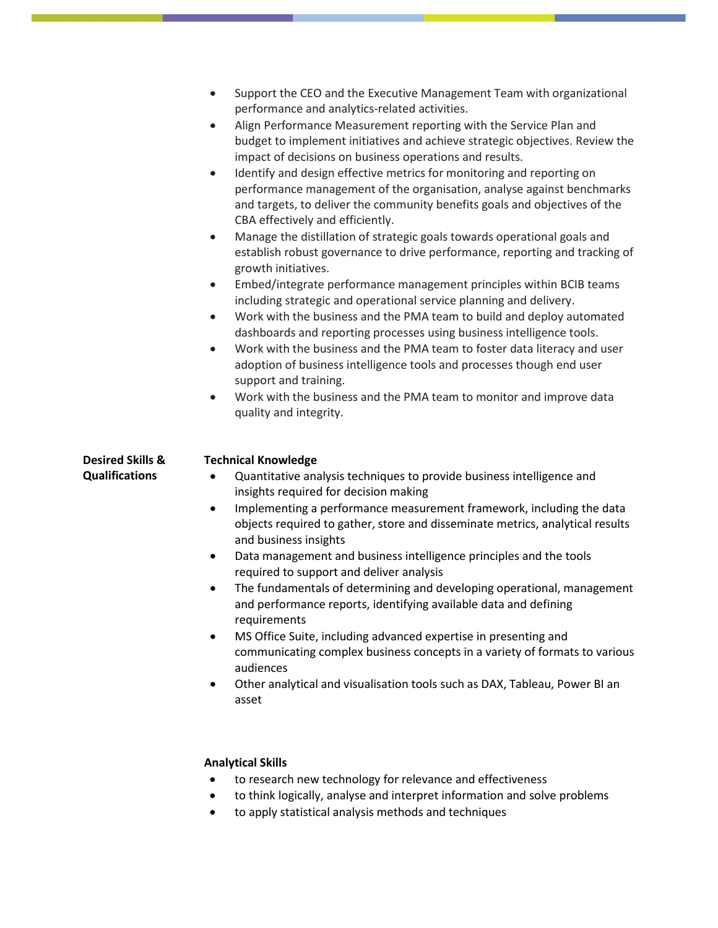|                                                      | Support the CEO and the Executive Management Team with organizational<br>$\bullet$<br>performance and analytics-related activities.<br>Align Performance Measurement reporting with the Service Plan and<br>$\bullet$<br>budget to implement initiatives and achieve strategic objectives. Review the<br>impact of decisions on business operations and results.<br>Identify and design effective metrics for monitoring and reporting on<br>$\bullet$<br>performance management of the organisation, analyse against benchmarks<br>and targets, to deliver the community benefits goals and objectives of the<br>CBA effectively and efficiently.<br>Manage the distillation of strategic goals towards operational goals and<br>$\bullet$<br>establish robust governance to drive performance, reporting and tracking of<br>growth initiatives.<br>Embed/integrate performance management principles within BCIB teams<br>$\bullet$<br>including strategic and operational service planning and delivery.<br>Work with the business and the PMA team to build and deploy automated<br>$\bullet$<br>dashboards and reporting processes using business intelligence tools.<br>Work with the business and the PMA team to foster data literacy and user<br>$\bullet$<br>adoption of business intelligence tools and processes though end user<br>support and training.<br>Work with the business and the PMA team to monitor and improve data<br>$\bullet$<br>quality and integrity. |
|------------------------------------------------------|-------------------------------------------------------------------------------------------------------------------------------------------------------------------------------------------------------------------------------------------------------------------------------------------------------------------------------------------------------------------------------------------------------------------------------------------------------------------------------------------------------------------------------------------------------------------------------------------------------------------------------------------------------------------------------------------------------------------------------------------------------------------------------------------------------------------------------------------------------------------------------------------------------------------------------------------------------------------------------------------------------------------------------------------------------------------------------------------------------------------------------------------------------------------------------------------------------------------------------------------------------------------------------------------------------------------------------------------------------------------------------------------------------------------------------------------------------------------------------------|
| <b>Desired Skills &amp;</b><br><b>Qualifications</b> | <b>Technical Knowledge</b><br>Quantitative analysis techniques to provide business intelligence and<br>$\bullet$<br>insights required for decision making<br>Implementing a performance measurement framework, including the data<br>$\bullet$<br>objects required to gather, store and disseminate metrics, analytical results<br>and business insights<br>Data management and business intelligence principles and the tools<br>$\bullet$<br>required to support and deliver analysis<br>The fundamentals of determining and developing operational, management<br>and performance reports, identifying available data and defining<br>requirements<br>MS Office Suite, including advanced expertise in presenting and<br>٠<br>communicating complex business concepts in a variety of formats to various<br>audiences<br>Other analytical and visualisation tools such as DAX, Tableau, Power BI an<br>٠<br>asset<br><b>Analytical Skills</b>                                                                                                                                                                                                                                                                                                                                                                                                                                                                                                                                    |

- to research new technology for relevance and effectiveness
- to think logically, analyse and interpret information and solve problems
- to apply statistical analysis methods and techniques